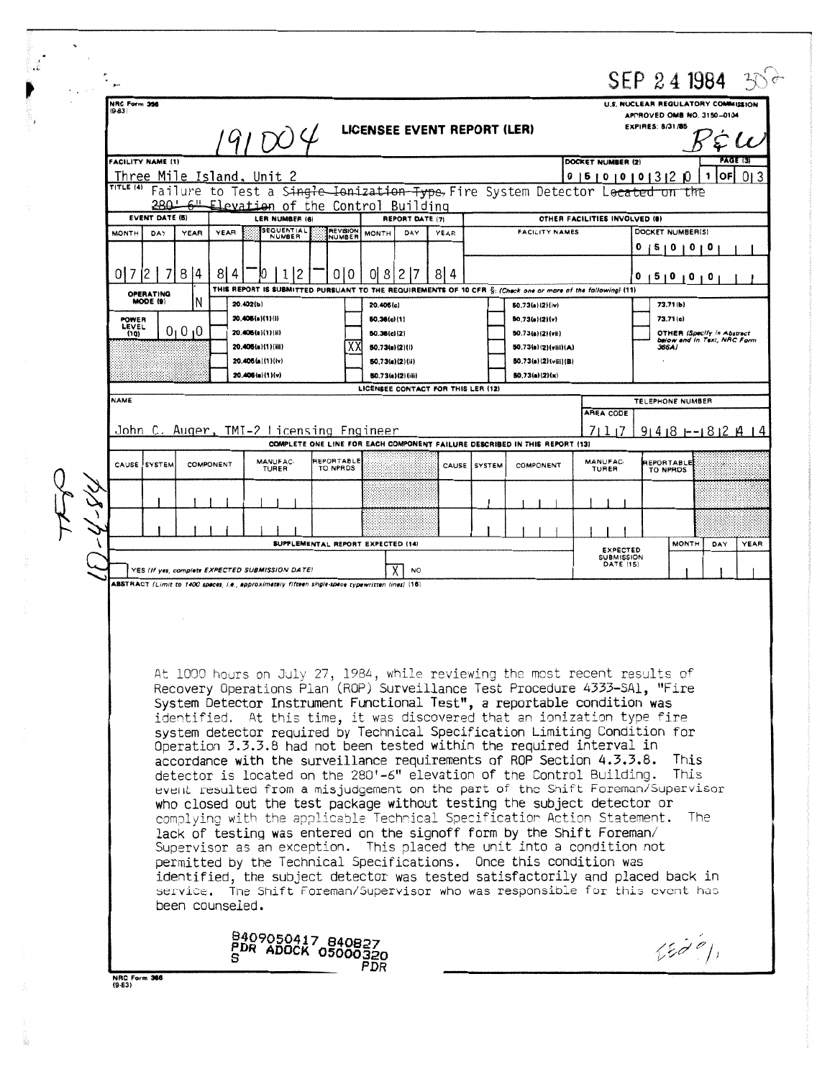|  |  | NRC Form 356<br>$(9 - 83)$<br>LICENSEE EVENT REPORT (LER)                                                                                                                     |                              |      |                 |                                                                                                  |                            |                                   |                  |      |              |                                                                                                                                                                                                                                                                                                                                                                                                                                                                                                                                                                                                                                                                                                                                                                                                                                                                                                                                                                                                                                                                                                                                                                                                                                                           | SEP 24 1984<br>U.S. NUCLEAR REGULATORY COMMISSION<br>APPROVED OMB NO. 3150-0104<br><b>EXPIRES: 8/31/85</b> |                   |                                                                  |      |
|--|--|-------------------------------------------------------------------------------------------------------------------------------------------------------------------------------|------------------------------|------|-----------------|--------------------------------------------------------------------------------------------------|----------------------------|-----------------------------------|------------------|------|--------------|-----------------------------------------------------------------------------------------------------------------------------------------------------------------------------------------------------------------------------------------------------------------------------------------------------------------------------------------------------------------------------------------------------------------------------------------------------------------------------------------------------------------------------------------------------------------------------------------------------------------------------------------------------------------------------------------------------------------------------------------------------------------------------------------------------------------------------------------------------------------------------------------------------------------------------------------------------------------------------------------------------------------------------------------------------------------------------------------------------------------------------------------------------------------------------------------------------------------------------------------------------------|------------------------------------------------------------------------------------------------------------|-------------------|------------------------------------------------------------------|------|
|  |  | FACILITY NAME (1)                                                                                                                                                             |                              |      |                 |                                                                                                  |                            |                                   |                  |      |              |                                                                                                                                                                                                                                                                                                                                                                                                                                                                                                                                                                                                                                                                                                                                                                                                                                                                                                                                                                                                                                                                                                                                                                                                                                                           | PAGE (3)<br>DOCKET NUMBER (2)                                                                              |                   |                                                                  |      |
|  |  | <u>Three Mile Island, Unit 2</u><br>TITLE (4)                                                                                                                                 |                              |      |                 |                                                                                                  |                            |                                   |                  |      |              |                                                                                                                                                                                                                                                                                                                                                                                                                                                                                                                                                                                                                                                                                                                                                                                                                                                                                                                                                                                                                                                                                                                                                                                                                                                           | OFI<br>013<br>$0$   5   0   0   0   3   2   0<br>$\mathbf{1}$                                              |                   |                                                                  |      |
|  |  | Failure to Test a Single Jonization Type, Fire System Detector Lecated on the<br>280' 6" Elevation of the Control Building<br><b>EVENT DATE (B)</b><br><b>REPORT DATE (7)</b> |                              |      |                 |                                                                                                  |                            |                                   |                  |      |              |                                                                                                                                                                                                                                                                                                                                                                                                                                                                                                                                                                                                                                                                                                                                                                                                                                                                                                                                                                                                                                                                                                                                                                                                                                                           |                                                                                                            |                   |                                                                  |      |
|  |  | <b>MONTH</b>                                                                                                                                                                  | DAY                          | YEAR | YEAR            | LER NUMBER (6)<br><b>SEQUENTIAL</b><br>NUMBER                                                    | <b>REVISION</b><br>NUMBER  | <b>MONTH</b>                      | DAY              | YEAR |              | <b>FACILITY NAMES</b>                                                                                                                                                                                                                                                                                                                                                                                                                                                                                                                                                                                                                                                                                                                                                                                                                                                                                                                                                                                                                                                                                                                                                                                                                                     | OTHER FACILITIES INVOLVED (8)                                                                              | DOCKET NUMBER(S)  |                                                                  |      |
|  |  |                                                                                                                                                                               |                              |      |                 |                                                                                                  |                            |                                   |                  |      |              |                                                                                                                                                                                                                                                                                                                                                                                                                                                                                                                                                                                                                                                                                                                                                                                                                                                                                                                                                                                                                                                                                                                                                                                                                                                           |                                                                                                            | 0<br>1510101      |                                                                  |      |
|  |  | 0.                                                                                                                                                                            |                              | 814  | 81<br>4         | 2                                                                                                | 010                        | 0<br>8                            | $\overline{c}$   | 814  |              | THIS REPORT IS SUBMITTED PURSUANT TO THE REQUIREMENTS OF 10 CFR §: (Check one or more of the following) (11)                                                                                                                                                                                                                                                                                                                                                                                                                                                                                                                                                                                                                                                                                                                                                                                                                                                                                                                                                                                                                                                                                                                                              |                                                                                                            | 0 1 5 1 0 1 0 1 0 |                                                                  |      |
|  |  |                                                                                                                                                                               | <b>OPERATING</b><br>MODE (9) |      |                 | 20.402(b)                                                                                        |                            | 20.405(c)                         |                  |      |              | 50.73(a)(2)(iv)                                                                                                                                                                                                                                                                                                                                                                                                                                                                                                                                                                                                                                                                                                                                                                                                                                                                                                                                                                                                                                                                                                                                                                                                                                           |                                                                                                            | 73.71 (b)         |                                                                  |      |
|  |  | 20.406(a)(1)(i)<br><b>POWER</b><br>LEVEL<br>0 <sub>1</sub> 0 <sub>1</sub> 0<br>20.406(a)(1)(ii)<br>(10)                                                                       |                              |      |                 |                                                                                                  | 50.36(c)(1)<br>50.36(c)(2) |                                   |                  |      |              | 50.73(a)(2)(v)<br>50.73(a)(2)(vii)                                                                                                                                                                                                                                                                                                                                                                                                                                                                                                                                                                                                                                                                                                                                                                                                                                                                                                                                                                                                                                                                                                                                                                                                                        |                                                                                                            | 73.71(c)          | <b>OTHER (Specify in Abstract</b><br>below and in Text, NRC Form |      |
|  |  |                                                                                                                                                                               |                              |      |                 | 20.406(a)(1)(iii)<br>20.405(a)(1)(iv)                                                            | XХ                         | 50.73(a)(2)(i)<br>50.73(a)(2)(ii) |                  |      |              | 50.73(a)(2)(viii)(A)<br>50.73(a)(2)(viii)(B)                                                                                                                                                                                                                                                                                                                                                                                                                                                                                                                                                                                                                                                                                                                                                                                                                                                                                                                                                                                                                                                                                                                                                                                                              |                                                                                                            | 366A)             |                                                                  |      |
|  |  |                                                                                                                                                                               |                              |      |                 | 20.406(a)(1)(v)                                                                                  |                            |                                   | 50.73(a)(2)(iii) |      |              | 50.73(a)(2)(x)                                                                                                                                                                                                                                                                                                                                                                                                                                                                                                                                                                                                                                                                                                                                                                                                                                                                                                                                                                                                                                                                                                                                                                                                                                            |                                                                                                            |                   |                                                                  |      |
|  |  | LICENSEE CONTACT FOR THIS LER (12)<br>NAME                                                                                                                                    |                              |      |                 |                                                                                                  |                            |                                   |                  |      | AREA CODE    | TELEPHONE NUMBER                                                                                                                                                                                                                                                                                                                                                                                                                                                                                                                                                                                                                                                                                                                                                                                                                                                                                                                                                                                                                                                                                                                                                                                                                                          |                                                                                                            |                   |                                                                  |      |
|  |  | John C. Auger, TMI-2 Licensing Engineer<br>COMPLETE ONE LINE FOR EACH COMPONENT FAILURE DESCRIBED IN THIS REPORT (13)                                                         |                              |      |                 |                                                                                                  |                            |                                   |                  |      |              | 71117<br>$91418$ $-1812$ $414$                                                                                                                                                                                                                                                                                                                                                                                                                                                                                                                                                                                                                                                                                                                                                                                                                                                                                                                                                                                                                                                                                                                                                                                                                            |                                                                                                            |                   |                                                                  |      |
|  |  |                                                                                                                                                                               | CAUSE SYSTEM                 |      | COMPONENT       | MANUFAC-<br>TURER                                                                                | REPORTABLE<br>TO NPRDS     |                                   |                  |      | CAUSE SYSTEM | COMPONENT                                                                                                                                                                                                                                                                                                                                                                                                                                                                                                                                                                                                                                                                                                                                                                                                                                                                                                                                                                                                                                                                                                                                                                                                                                                 | MANUFAC-<br>TURER                                                                                          | REPORTABLE        |                                                                  |      |
|  |  |                                                                                                                                                                               |                              |      |                 |                                                                                                  |                            |                                   |                  |      |              |                                                                                                                                                                                                                                                                                                                                                                                                                                                                                                                                                                                                                                                                                                                                                                                                                                                                                                                                                                                                                                                                                                                                                                                                                                                           |                                                                                                            | <b>TO NPRDS</b>   |                                                                  |      |
|  |  |                                                                                                                                                                               |                              |      |                 |                                                                                                  |                            |                                   |                  |      |              |                                                                                                                                                                                                                                                                                                                                                                                                                                                                                                                                                                                                                                                                                                                                                                                                                                                                                                                                                                                                                                                                                                                                                                                                                                                           |                                                                                                            |                   |                                                                  |      |
|  |  |                                                                                                                                                                               |                              |      |                 |                                                                                                  |                            |                                   |                  |      |              |                                                                                                                                                                                                                                                                                                                                                                                                                                                                                                                                                                                                                                                                                                                                                                                                                                                                                                                                                                                                                                                                                                                                                                                                                                                           |                                                                                                            |                   | <b>MONTH</b><br>DAY                                              | YEAR |
|  |  | SUPPLEMENTAL REPORT EXPECTED (14)<br>YES (If yes, complete EXPECTED SUBMISSION DATE)<br><b>NO</b>                                                                             |                              |      |                 |                                                                                                  |                            |                                   |                  |      |              | <b>EXPECTED</b><br><b>SUBMISSION</b><br><b>DATE (15)</b>                                                                                                                                                                                                                                                                                                                                                                                                                                                                                                                                                                                                                                                                                                                                                                                                                                                                                                                                                                                                                                                                                                                                                                                                  |                                                                                                            |                   |                                                                  |      |
|  |  |                                                                                                                                                                               |                              |      |                 | ABSTRACT (Limit to 1400 speces, i.e., approximately fifteen single-space typewritten lines) (16) |                            |                                   |                  |      |              |                                                                                                                                                                                                                                                                                                                                                                                                                                                                                                                                                                                                                                                                                                                                                                                                                                                                                                                                                                                                                                                                                                                                                                                                                                                           |                                                                                                            |                   |                                                                  |      |
|  |  |                                                                                                                                                                               |                              |      | been counseled. |                                                                                                  |                            |                                   |                  |      |              | At 1000 hours on July 27, 1984, while reviewing the most recent results of<br>Recovery Operations Plan (ROP) Surveillance Test Procedure 4333-SA1, "Fire<br>System Detector Instrument Functional Test", a reportable condition was<br>identified. At this time, it was discovered that an ionization type fire<br>system detector required by Technical Specification Limiting Condition for<br>Operation 3.3.3.8 had not been tested within the required interval in<br>accordance with the surveillance requirements of ROP Section 4.3.3.8.<br>detector is located on the 280'-6" elevation of the Control Building.<br>event resulted from a misjudgement on the part of the Shift Foreman/Supervisor<br>who closed out the test package without testing the subject detector or<br>complying with the applicable Technical Specification Action Statement.<br>lack of testing was entered on the signoff form by the Shift Foreman/<br>Supervisor as an exception. This placed the unit into a condition not<br>permitted by the Technical Specifications. Once this condition was<br>identified, the subject detector was tested satisfactorily and placed back in<br>service. The Shift Foreman/Supervisor who was responsible for this event has |                                                                                                            |                   | This<br>This<br>The                                              |      |
|  |  |                                                                                                                                                                               |                              |      |                 | 8409050417 840827<br>PDR ADOCK 05000320                                                          |                            | PDR                               |                  |      |              |                                                                                                                                                                                                                                                                                                                                                                                                                                                                                                                                                                                                                                                                                                                                                                                                                                                                                                                                                                                                                                                                                                                                                                                                                                                           |                                                                                                            |                   | Eid                                                              |      |

 $\ddot{\varepsilon}$ 

÷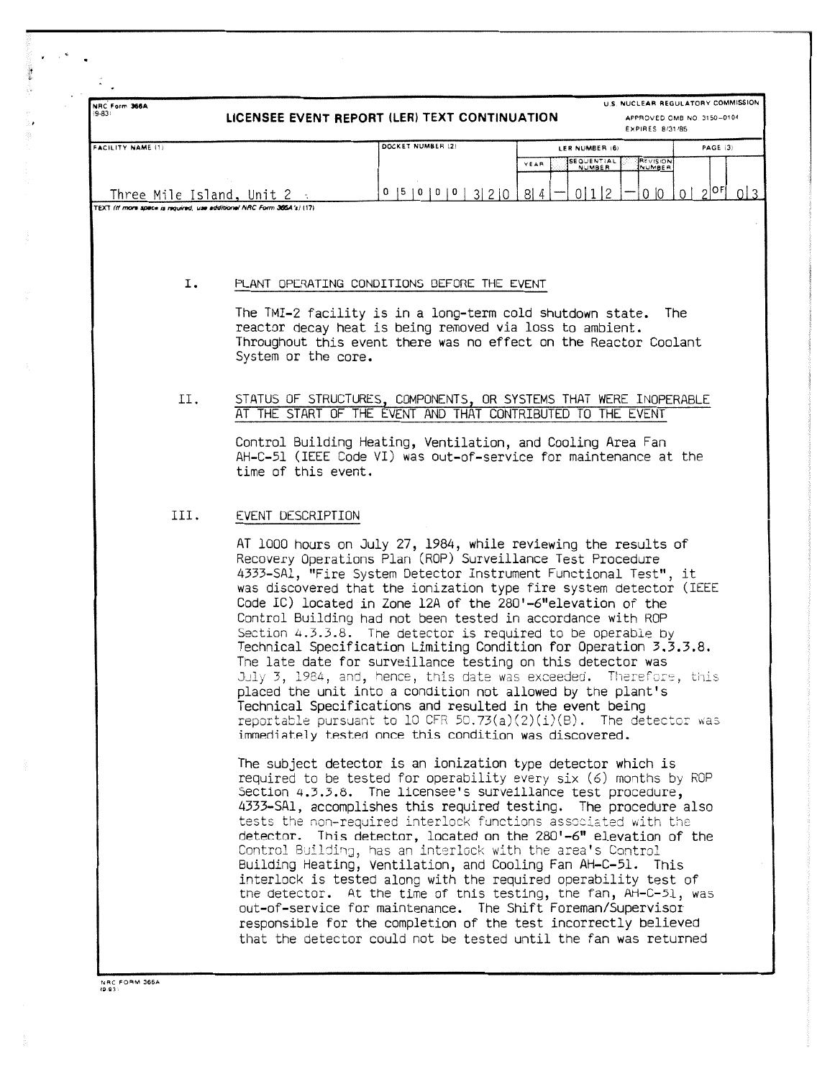| NRC Form 366A<br>$9 - 83$                                                                                  | U.S. NUCLEAR REGULATORY COMMISSION<br>LICENSEE EVENT REPORT (LER) TEXT CONTINUATION<br>APPROVED OMB NO. 3150-0104<br>EXPIRES 8/31/85                                                                                                                                                                                                                                                                                                                                                                                                                                                                                                                                                                                                                                                                                                                                                                                                     |
|------------------------------------------------------------------------------------------------------------|------------------------------------------------------------------------------------------------------------------------------------------------------------------------------------------------------------------------------------------------------------------------------------------------------------------------------------------------------------------------------------------------------------------------------------------------------------------------------------------------------------------------------------------------------------------------------------------------------------------------------------------------------------------------------------------------------------------------------------------------------------------------------------------------------------------------------------------------------------------------------------------------------------------------------------------|
| FACILITY NAME (1)                                                                                          | DOCKET NUMBER (2)<br>PAGE (3)<br>LER NUMBER (6)<br>SEQUENTIAL<br>NUMBER<br><b>REVISION</b><br>YEAR<br>$012^{ OF }013$<br>0 1 2<br>0  5  0  0  0                                                                                                                                                                                                                                                                                                                                                                                                                                                                                                                                                                                                                                                                                                                                                                                          |
| Three Mile Island, Unit $2 \cdot$<br>TEXT (If more space is required, use additional NRC Form 366A's) (17) | 8 4 <br>0 <sup>10</sup><br>3 2 0                                                                                                                                                                                                                                                                                                                                                                                                                                                                                                                                                                                                                                                                                                                                                                                                                                                                                                         |
| 1.                                                                                                         | PLANT OPERATING CONDITIONS BEFORE THE EVENT                                                                                                                                                                                                                                                                                                                                                                                                                                                                                                                                                                                                                                                                                                                                                                                                                                                                                              |
|                                                                                                            | The TMI-2 facility is in a long-term cold shutdown state. The<br>reactor decay heat is being removed via loss to ambient.<br>Throughout this event there was no effect on the Reactor Coolant<br>System or the core.                                                                                                                                                                                                                                                                                                                                                                                                                                                                                                                                                                                                                                                                                                                     |
| П.                                                                                                         | STATUS OF STRUCTURES, COMPONENTS, OR SYSTEMS THAT WERE INOPERABLE<br>AT THE START OF THE EVENT AND THAT CONTRIBUTED TO THE EVENT                                                                                                                                                                                                                                                                                                                                                                                                                                                                                                                                                                                                                                                                                                                                                                                                         |
|                                                                                                            | Control Building Heating, Ventilation, and Cooling Area Fan<br>AH-C-51 (IEEE Code VI) was out-of-service for maintenance at the<br>time of this event.                                                                                                                                                                                                                                                                                                                                                                                                                                                                                                                                                                                                                                                                                                                                                                                   |
| III.                                                                                                       | EVENT DESCRIPTION                                                                                                                                                                                                                                                                                                                                                                                                                                                                                                                                                                                                                                                                                                                                                                                                                                                                                                                        |
|                                                                                                            | AT 1000 hours on July 27, 1984, while reviewing the results of<br>Recovery Operations Plan (ROP) Surveillance Test Procedure<br>4333-SAl, "Fire System Detector Instrument Functional Test", it<br>was discovered that the ionization type fire system detector (IEEE<br>Code IC) located in Zone 12A of the 280'-6"elevation of the<br>Control Building had not been tested in accordance with ROP<br>Section 4.3.3.8. The detector is required to be operable by<br>Technical Specification Limiting Condition for Operation 3.3.3.8.<br>The late date for surveillance testing on this detector was<br>July 3, 1984, and, hence, this date was exceeded. Therefore, this<br>placed the unit into a condition not allowed by the plant's<br>Technical Specifications and resulted in the event being<br>reportable pursuant to 10 CFR $50.73(a)(2)(i)(B)$ . The detector was<br>immediately tested once this condition was discovered. |
|                                                                                                            | The subject detector is an ionization type detector which is<br>required to be tested for operability every six (6) months by ROP<br>Section 4.3.3.8. The licensee's surveillance test procedure,<br>4333-SA1, accomplishes this required testing. The procedure also<br>tests the non-required interlock functions associated with the<br>detector. This detector, located on the 280'-6" elevation of the<br>Control Building, has an interlock with the area's Control<br>Building Heating, Ventilation, and Cooling Fan AH-C-51. This<br>interlock is tested along with the required operability test of<br>the detector. At the time of this testing, the fan, AH-C-51, was<br>out-of-service for maintenance. The Shift Foreman/Supervisor<br>responsible for the completion of the test incorrectly believed<br>that the detector could not be tested until the fan was returned                                                  |

VRC FORM 366A<br>D-93: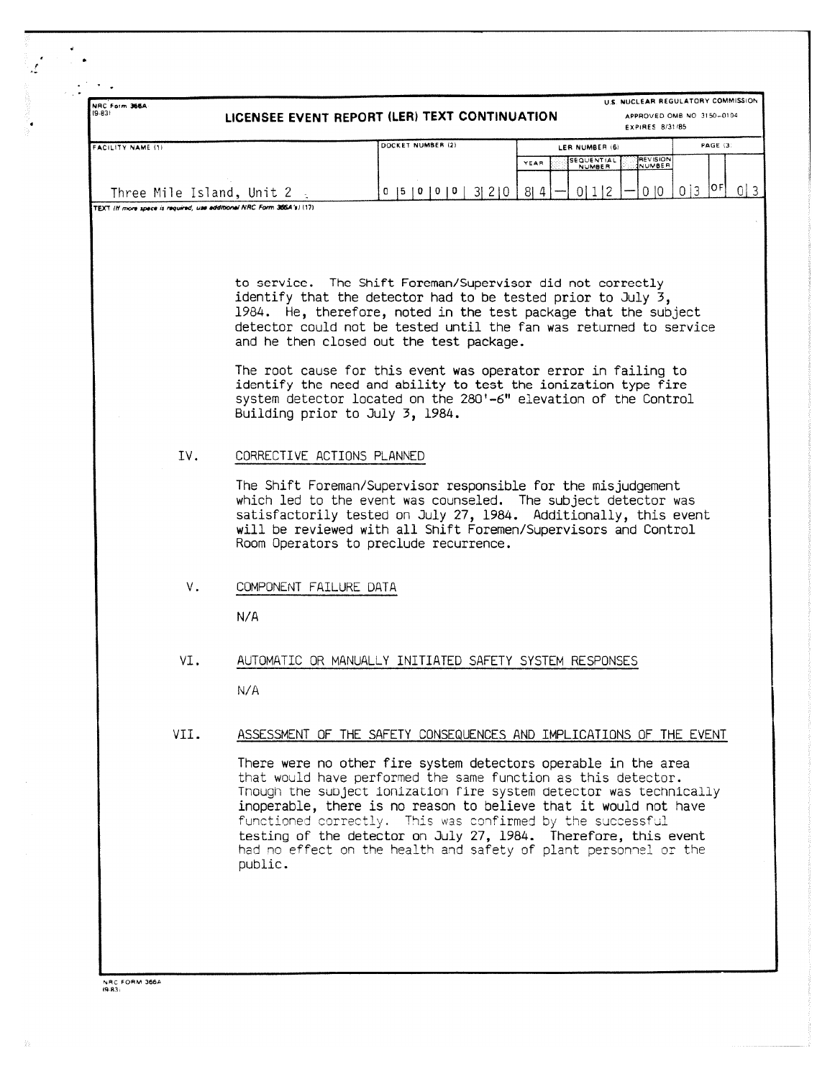| NRC Form 366A<br>(9-83) | U.S. NUCLEAR REGULATORY COMMISSION<br>LICENSEE EVENT REPORT (LER) TEXT CONTINUATION<br>APPROVED OMB NO 3150-0104<br><b>EXPIRES 8/31/85</b> |                                                                                                                                                                                                                                                                                                                                                                                                                                                                                                                                                                                                                                                                                                                                                                  |                                                                                                                                                                                                                                                                                                                                                                                                                  |  |  |  |  |  |
|-------------------------|--------------------------------------------------------------------------------------------------------------------------------------------|------------------------------------------------------------------------------------------------------------------------------------------------------------------------------------------------------------------------------------------------------------------------------------------------------------------------------------------------------------------------------------------------------------------------------------------------------------------------------------------------------------------------------------------------------------------------------------------------------------------------------------------------------------------------------------------------------------------------------------------------------------------|------------------------------------------------------------------------------------------------------------------------------------------------------------------------------------------------------------------------------------------------------------------------------------------------------------------------------------------------------------------------------------------------------------------|--|--|--|--|--|
| FACILITY NAME (1)       |                                                                                                                                            | DOCKET NUMBER (2)                                                                                                                                                                                                                                                                                                                                                                                                                                                                                                                                                                                                                                                                                                                                                | PAGE (3)<br>LER NUMBER (6)                                                                                                                                                                                                                                                                                                                                                                                       |  |  |  |  |  |
|                         |                                                                                                                                            |                                                                                                                                                                                                                                                                                                                                                                                                                                                                                                                                                                                                                                                                                                                                                                  | SEQUENTIAL<br><b>REVISION</b><br>YEAR                                                                                                                                                                                                                                                                                                                                                                            |  |  |  |  |  |
|                         | Three Mile Island, Unit 2                                                                                                                  | 0  5  0  0  0  3  2  0                                                                                                                                                                                                                                                                                                                                                                                                                                                                                                                                                                                                                                                                                                                                           | $013$  OF <br>0 1 2<br>0 0<br>8 4                                                                                                                                                                                                                                                                                                                                                                                |  |  |  |  |  |
| IV.                     | CORRECTIVE ACTIONS PLANNED                                                                                                                 | to service. The Shift Foreman/Supervisor did not correctly<br>identify that the detector had to be tested prior to July 3,<br>1984. He, therefore, noted in the test package that the subject<br>detector could not be tested until the fan was returned to service<br>and he then closed out the test package.<br>The root cause for this event was operator error in failing to<br>identify the need and ability to test the ionization type fire<br>system detector located on the 280'-6" elevation of the Control<br>Building prior to July 3, 1984.<br>The Shift Foreman/Supervisor responsible for the misjudgement<br>which led to the event was counseled. The subject detector was<br>satisfactorily tested on July 27, 1984. Additionally, this event |                                                                                                                                                                                                                                                                                                                                                                                                                  |  |  |  |  |  |
|                         | $V_{\bullet}$<br>COMPONENT FAILURE DATA<br>N/A                                                                                             | Room Operators to preclude recurrence.                                                                                                                                                                                                                                                                                                                                                                                                                                                                                                                                                                                                                                                                                                                           | will be reviewed with all Shift Foremen/Supervisors and Control                                                                                                                                                                                                                                                                                                                                                  |  |  |  |  |  |
| VI.                     |                                                                                                                                            | AUTOMATIC OR MANUALLY INITIATED SAFETY SYSTEM RESPONSES                                                                                                                                                                                                                                                                                                                                                                                                                                                                                                                                                                                                                                                                                                          |                                                                                                                                                                                                                                                                                                                                                                                                                  |  |  |  |  |  |
|                         | N/A                                                                                                                                        |                                                                                                                                                                                                                                                                                                                                                                                                                                                                                                                                                                                                                                                                                                                                                                  |                                                                                                                                                                                                                                                                                                                                                                                                                  |  |  |  |  |  |
| VII.                    |                                                                                                                                            |                                                                                                                                                                                                                                                                                                                                                                                                                                                                                                                                                                                                                                                                                                                                                                  | ASSESSMENT OF THE SAFETY CONSEQUENCES AND IMPLICATIONS OF THE EVENT                                                                                                                                                                                                                                                                                                                                              |  |  |  |  |  |
|                         | public.                                                                                                                                    | functioned correctly. This was confirmed by the successful                                                                                                                                                                                                                                                                                                                                                                                                                                                                                                                                                                                                                                                                                                       | There were no other fire system detectors operable in the area<br>that would have performed the same function as this detector.<br>Though the subject ionization fire system detector was technically<br>inoperable, there is no reason to believe that it would not have<br>testing of the detector on July 27, 1984. Therefore, this event<br>had no effect on the health and safety of plant personnel or the |  |  |  |  |  |

NRC FORM 3664<br>I<del>9</del>-831

 $\bullet$